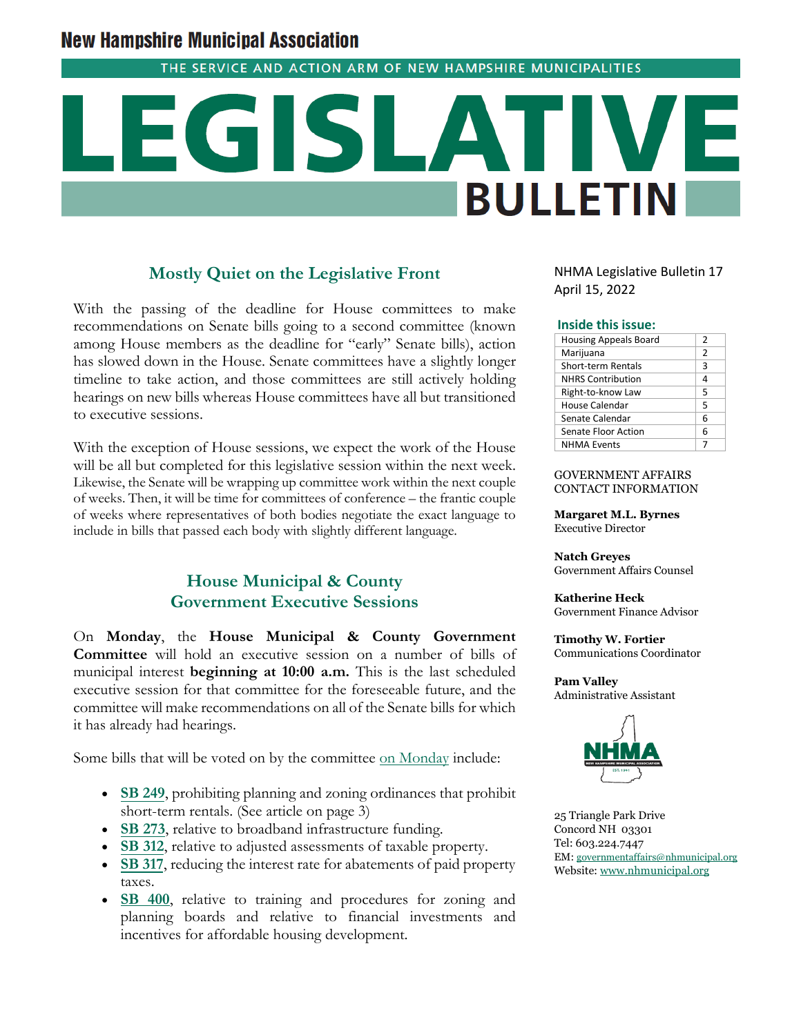# **New Hampshire Municipal Association**

THE SERVICE AND ACTION ARM OF NEW HAMPSHIRE MUNICIPALITIES

# G **BULLETIN**

#### **Mostly Quiet on the Legislative Front**

With the passing of the deadline for House committees to make recommendations on Senate bills going to a second committee (known among House members as the deadline for "early" Senate bills), action has slowed down in the House. Senate committees have a slightly longer timeline to take action, and those committees are still actively holding hearings on new bills whereas House committees have all but transitioned to executive sessions.

With the exception of House sessions, we expect the work of the House will be all but completed for this legislative session within the next week. Likewise, the Senate will be wrapping up committee work within the next couple of weeks. Then, it will be time for committees of conference – the frantic couple of weeks where representatives of both bodies negotiate the exact language to include in bills that passed each body with slightly different language.

## **House Municipal & County Government Executive Sessions**

On **Monday**, the **House Municipal & County Government Committee** will hold an executive session on a number of bills of municipal interest **beginning at 10:00 a.m.** This is the last scheduled executive session for that committee for the foreseeable future, and the committee will make recommendations on all of the Senate bills for which it has already had hearings.

Some bills that will be voted on by the committee [on Monday](http://www.gencourt.state.nh.us/house/schedule/eventDetails.aspx?event=7357&et=11) include:

- **[SB 249](http://www.gencourt.state.nh.us/bill_Status/pdf.aspx?id=31859&q=billVersion)**, prohibiting planning and zoning ordinances that prohibit short-term rentals. (See article on page 3)
- **[SB 273](http://www.gencourt.state.nh.us/bill_Status/pdf.aspx?id=31199&q=billVersion)**, relative to broadband infrastructure funding.
- **[SB 312](http://www.gencourt.state.nh.us/bill_Status/pdf.aspx?id=29014&q=billVersion)**, relative to adjusted assessments of taxable property.
- **[SB 317](http://www.gencourt.state.nh.us/bill_Status/pdf.aspx?id=31212&q=billVersion)**, reducing the interest rate for abatements of paid property taxes.
- **[SB 400](http://www.gencourt.state.nh.us/bill_Status/pdf.aspx?id=33314&q=billVersion)**, relative to training and procedures for zoning and planning boards and relative to financial investments and incentives for affordable housing development.

NHMA Legislative Bulletin 17 April 15, 2022

#### **Inside this issue:**

| <b>Housing Appeals Board</b> | 2              |
|------------------------------|----------------|
| Marijuana                    | $\overline{2}$ |
| <b>Short-term Rentals</b>    | 3              |
| <b>NHRS Contribution</b>     | 4              |
| Right-to-know Law            | 5              |
| House Calendar               | 5              |
| Senate Calendar              | 6              |
| Senate Floor Action          | 6              |
| <b>NHMA Events</b>           |                |

#### GOVERNMENT AFFAIRS CONTACT INFORMATION

**Margaret M.L. Byrnes** Executive Director

**Natch Greyes** Government Affairs Counsel

**Katherine Heck** Government Finance Advisor

**Timothy W. Fortier** Communications Coordinator

**Pam Valley** Administrative Assistant



25 Triangle Park Drive Concord NH 03301 Tel: 603.224.7447 EM: [governmentaffairs@nhmunicipal.org](mailto:governmentaffairs@nhmunicipal.org) Website: [www.nhmunicipal.org](http://www.nhmunicipal.org/)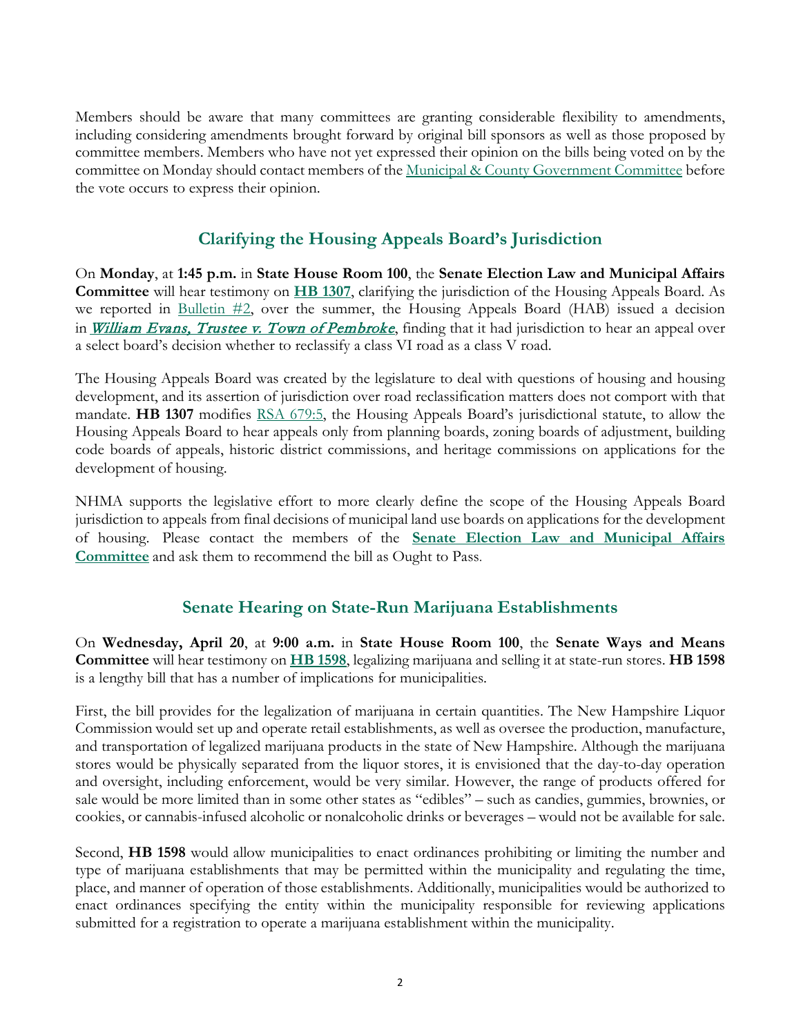Members should be aware that many committees are granting considerable flexibility to amendments, including considering amendments brought forward by original bill sponsors as well as those proposed by committee members. Members who have not yet expressed their opinion on the bills being voted on by the committee on Monday should contact members of the <u>Municipal & County Government Committee</u> before the vote occurs to express their opinion.

## **Clarifying the Housing Appeals Board's Jurisdiction**

On **Monday**, at **1:45 p.m.** in **State House Room 100**, the **Senate Election Law and Municipal Affairs Committee** will hear testimony on **HB 1307**, clarifying the jurisdiction of the Housing Appeals Board. As we reported in [Bulletin #2,](https://www.nhmunicipal.org/legislative-bulletin/2022-nhma-legislative-bulletin-02#26193) over the summer, the Housing Appeals Board (HAB) issued a decision in *[William Evans, Trustee v. Town of Pembroke](https://www.nhmunicipal.org/court-updates/select-board-decision-denying-reclassification-class-vi-road-class-v-vacated-and)*, finding that it had jurisdiction to hear an appeal over a select board's decision whether to reclassify a class VI road as a class V road.

The Housing Appeals Board was created by the legislature to deal with questions of housing and housing development, and its assertion of jurisdiction over road reclassification matters does not comport with that mandate. **HB 1307** modifies [RSA 679:5,](http://www.gencourt.state.nh.us/rsa/html/lxiv/679/679-5.htm) the Housing Appeals Board's jurisdictional statute, to allow the Housing Appeals Board to hear appeals only from planning boards, zoning boards of adjustment, building code boards of appeals, historic district commissions, and heritage commissions on applications for the development of housing.

NHMA supports the legislative effort to more clearly define the scope of the Housing Appeals Board jurisdiction to appeals from final decisions of municipal land use boards on applications for the development of housing. Please contact the members of the **[Senate Election Law and Municipal Affairs](http://www.gencourt.state.nh.us/senate/committees/committee_details.aspx?cc=1421)  [Committee](http://www.gencourt.state.nh.us/senate/committees/committee_details.aspx?cc=1421)** and ask them to recommend the bill as Ought to Pass.

## **Senate Hearing on State-Run Marijuana Establishments**

On **Wednesday, April 20**, at **9:00 a.m.** in **State House Room 100**, the **Senate Ways and Means Committee** will hear testimony on **[HB 1598](http://www.gencourt.state.nh.us/bill_Status/pdf.aspx?id=33858&q=billVersion)**, legalizing marijuana and selling it at state-run stores. **HB 1598** is a lengthy bill that has a number of implications for municipalities.

First, the bill provides for the legalization of marijuana in certain quantities. The New Hampshire Liquor Commission would set up and operate retail establishments, as well as oversee the production, manufacture, and transportation of legalized marijuana products in the state of New Hampshire. Although the marijuana stores would be physically separated from the liquor stores, it is envisioned that the day-to-day operation and oversight, including enforcement, would be very similar. However, the range of products offered for sale would be more limited than in some other states as "edibles" – such as candies, gummies, brownies, or cookies, or cannabis-infused alcoholic or nonalcoholic drinks or beverages – would not be available for sale.

Second, **HB 1598** would allow municipalities to enact ordinances prohibiting or limiting the number and type of marijuana establishments that may be permitted within the municipality and regulating the time, place, and manner of operation of those establishments. Additionally, municipalities would be authorized to enact ordinances specifying the entity within the municipality responsible for reviewing applications submitted for a registration to operate a marijuana establishment within the municipality.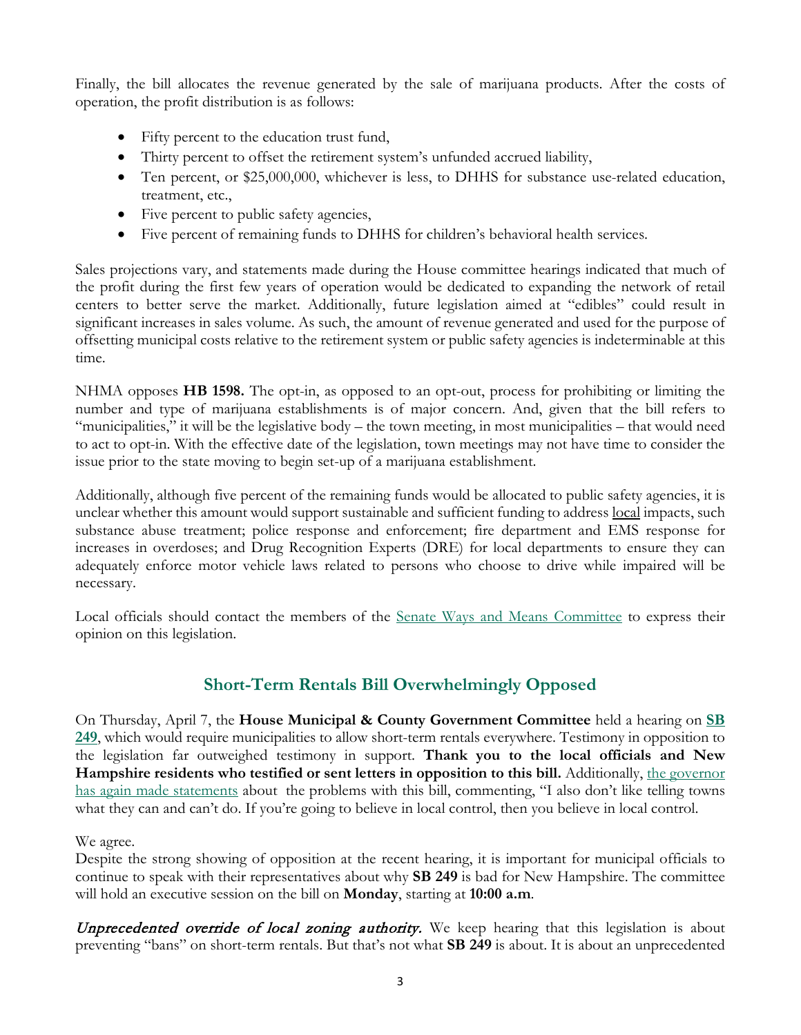Finally, the bill allocates the revenue generated by the sale of marijuana products. After the costs of operation, the profit distribution is as follows:

- Fifty percent to the education trust fund,
- Thirty percent to offset the retirement system's unfunded accrued liability,
- Ten percent, or \$25,000,000, whichever is less, to DHHS for substance use-related education, treatment, etc.,
- Five percent to public safety agencies,
- Five percent of remaining funds to DHHS for children's behavioral health services.

Sales projections vary, and statements made during the House committee hearings indicated that much of the profit during the first few years of operation would be dedicated to expanding the network of retail centers to better serve the market. Additionally, future legislation aimed at "edibles" could result in significant increases in sales volume. As such, the amount of revenue generated and used for the purpose of offsetting municipal costs relative to the retirement system or public safety agencies is indeterminable at this time.

NHMA opposes **HB 1598.** The opt-in, as opposed to an opt-out, process for prohibiting or limiting the number and type of marijuana establishments is of major concern. And, given that the bill refers to "municipalities," it will be the legislative body – the town meeting, in most municipalities – that would need to act to opt-in. With the effective date of the legislation, town meetings may not have time to consider the issue prior to the state moving to begin set-up of a marijuana establishment.

Additionally, although five percent of the remaining funds would be allocated to public safety agencies, it is unclear whether this amount would support sustainable and sufficient funding to address local impacts, such substance abuse treatment; police response and enforcement; fire department and EMS response for increases in overdoses; and Drug Recognition Experts (DRE) for local departments to ensure they can adequately enforce motor vehicle laws related to persons who choose to drive while impaired will be necessary.

Local officials should contact the members of the [Senate Ways and Means Committee](http://www.gencourt.state.nh.us/Senate/committees/committee_details.aspx?cc=35) to express their opinion on this legislation.

# **Short-Term Rentals Bill Overwhelmingly Opposed**

On Thursday, April 7, the **House Municipal & County Government Committee** held a hearing on **[SB](http://www.gencourt.state.nh.us/bill_status/pdf.aspx?id=31859&q=billVersion)  [249](http://www.gencourt.state.nh.us/bill_status/pdf.aspx?id=31859&q=billVersion)**, which would require municipalities to allow short-term rentals everywhere. Testimony in opposition to the legislation far outweighed testimony in support. **Thank you to the local officials and New Hampshire residents who testified or sent letters in opposition to this bill.** Additionally, [the governor](https://newhampshirebulletin.com/briefs/sununu-opposes-bill-to-prohibit-short-term-rental-bans-youre-going-down-the-wrong-path/)  [has again made statements](https://newhampshirebulletin.com/briefs/sununu-opposes-bill-to-prohibit-short-term-rental-bans-youre-going-down-the-wrong-path/) about the problems with this bill, commenting, "I also don't like telling towns what they can and can't do. If you're going to believe in local control, then you believe in local control.

#### We agree.

Despite the strong showing of opposition at the recent hearing, it is important for municipal officials to continue to speak with their representatives about why **SB 249** is bad for New Hampshire. The committee will hold an executive session on the bill on **Monday**, starting at **10:00 a.m**.

Unprecedented override of local zoning authority. We keep hearing that this legislation is about preventing "bans" on short-term rentals. But that's not what **SB 249** is about. It is about an unprecedented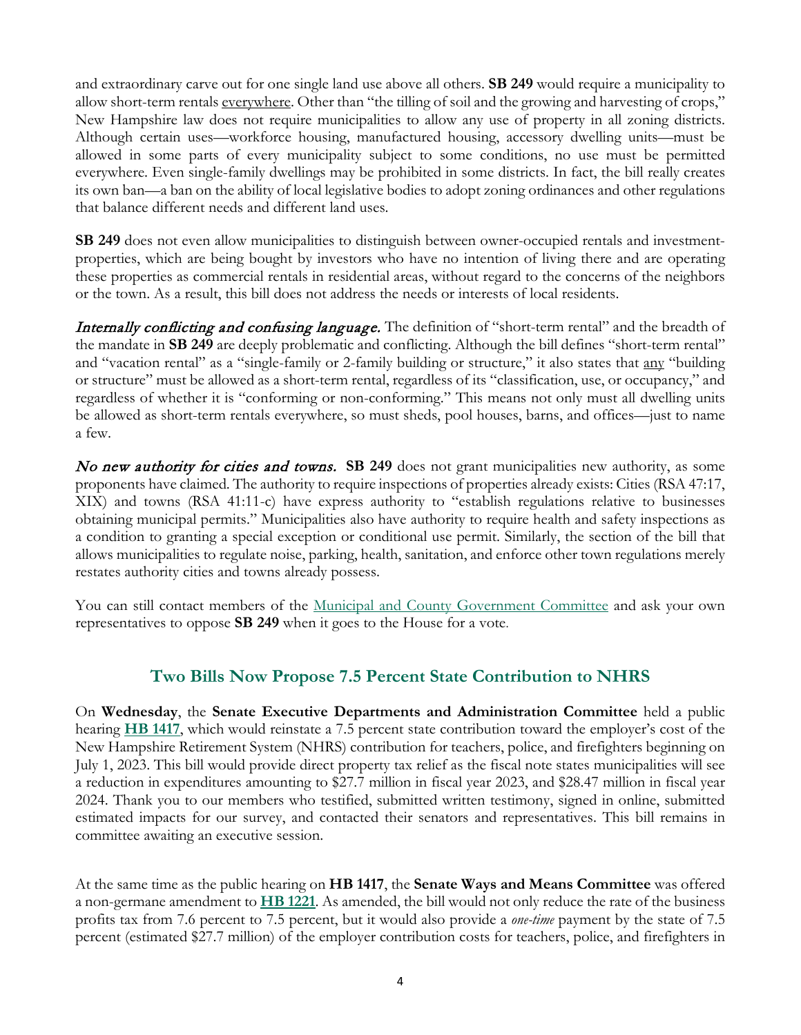and extraordinary carve out for one single land use above all others. **SB 249** would require a municipality to allow short-term rentals everywhere. Other than "the tilling of soil and the growing and harvesting of crops," New Hampshire law does not require municipalities to allow any use of property in all zoning districts. Although certain uses—workforce housing, manufactured housing, accessory dwelling units—must be allowed in some parts of every municipality subject to some conditions, no use must be permitted everywhere. Even single-family dwellings may be prohibited in some districts. In fact, the bill really creates its own ban—a ban on the ability of local legislative bodies to adopt zoning ordinances and other regulations that balance different needs and different land uses.

**SB 249** does not even allow municipalities to distinguish between owner-occupied rentals and investmentproperties, which are being bought by investors who have no intention of living there and are operating these properties as commercial rentals in residential areas, without regard to the concerns of the neighbors or the town. As a result, this bill does not address the needs or interests of local residents.

**Internally conflicting and confusing language.** The definition of "short-term rental" and the breadth of the mandate in **SB 249** are deeply problematic and conflicting. Although the bill defines "short-term rental" and "vacation rental" as a "single-family or 2-family building or structure," it also states that any "building or structure" must be allowed as a short-term rental, regardless of its "classification, use, or occupancy," and regardless of whether it is "conforming or non-conforming." This means not only must all dwelling units be allowed as short-term rentals everywhere, so must sheds, pool houses, barns, and offices—just to name a few.

No new authority for cities and towns. **SB 249** does not grant municipalities new authority, as some proponents have claimed. The authority to require inspections of properties already exists: Cities (RSA 47:17, XIX) and towns (RSA 41:11-c) have express authority to "establish regulations relative to businesses obtaining municipal permits." Municipalities also have authority to require health and safety inspections as a condition to granting a special exception or conditional use permit. Similarly, the section of the bill that allows municipalities to regulate noise, parking, health, sanitation, and enforce other town regulations merely restates authority cities and towns already possess.

You can still contact members of the [Municipal and County Government Committee](http://www.gencourt.state.nh.us/house/committees/committeedetails.aspx?id=11) and ask your own representatives to oppose **SB 249** when it goes to the House for a vote.

#### **Two Bills Now Propose 7.5 Percent State Contribution to NHRS**

On **Wednesday**, the **Senate Executive Departments and Administration Committee** held a public hearing **[HB 1417](http://www.gencourt.state.nh.us/bill_status/pdf.aspx?id=28309&q=billVersion)**, which would reinstate a 7.5 percent state contribution toward the employer's cost of the New Hampshire Retirement System (NHRS) contribution for teachers, police, and firefighters beginning on July 1, 2023. This bill would provide direct property tax relief as the fiscal note states municipalities will see a reduction in expenditures amounting to \$27.7 million in fiscal year 2023, and \$28.47 million in fiscal year 2024. Thank you to our members who testified, submitted written testimony, signed in online, submitted estimated impacts for our survey, and contacted their senators and representatives. This bill remains in committee awaiting an executive session.

At the same time as the public hearing on **HB 1417**, the **Senate Ways and Means Committee** was offered a non-germane amendment to **[HB 1221](http://www.gencourt.state.nh.us/bill_status/pdf.aspx?id=34444&q=amendment)**. As amended, the bill would not only reduce the rate of the business profits tax from 7.6 percent to 7.5 percent, but it would also provide a *one-time* payment by the state of 7.5 percent (estimated \$27.7 million) of the employer contribution costs for teachers, police, and firefighters in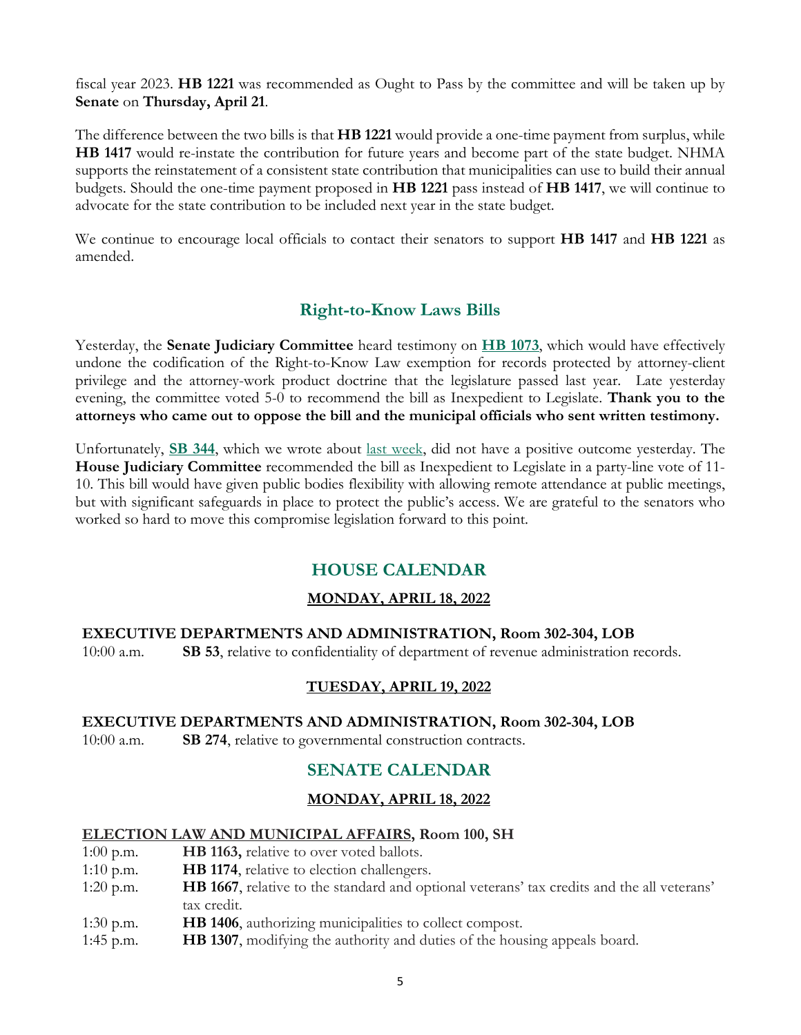fiscal year 2023. **HB 1221** was recommended as Ought to Pass by the committee and will be taken up by **Senate** on **Thursday, April 21**.

The difference between the two bills is that **HB 1221** would provide a one-time payment from surplus, while **HB 1417** would re-instate the contribution for future years and become part of the state budget. NHMA supports the reinstatement of a consistent state contribution that municipalities can use to build their annual budgets. Should the one-time payment proposed in **HB 1221** pass instead of **HB 1417**, we will continue to advocate for the state contribution to be included next year in the state budget.

We continue to encourage local officials to contact their senators to support **HB 1417** and **HB 1221** as amended.

## **Right-to-Know Laws Bills**

Yesterday, the **Senate Judiciary Committee** heard testimony on **[HB 1073](http://www.gencourt.state.nh.us/bill_status/pdf.aspx?id=33195&q=billVersion)**, which would have effectively undone the codification of the Right-to-Know Law exemption for records protected by attorney-client privilege and the attorney-work product doctrine that the legislature passed last year. Late yesterday evening, the committee voted 5-0 to recommend the bill as Inexpedient to Legislate. **Thank you to the attorneys who came out to oppose the bill and the municipal officials who sent written testimony.**

Unfortunately, **[SB 344](http://www.gencourt.state.nh.us/bill_status/pdf.aspx?id=33860&q=billVersion)**, which we wrote about [last week,](https://www.nhmunicipal.org/legislative-bulletin/2022-nhma-legislative-bulletin-16) did not have a positive outcome yesterday. The **House Judiciary Committee** recommended the bill as Inexpedient to Legislate in a party-line vote of 11- 10. This bill would have given public bodies flexibility with allowing remote attendance at public meetings, but with significant safeguards in place to protect the public's access. We are grateful to the senators who worked so hard to move this compromise legislation forward to this point.

# **HOUSE CALENDAR**

#### **MONDAY, APRIL 18, 2022**

#### **EXECUTIVE DEPARTMENTS AND ADMINISTRATION, Room 302-304, LOB**

10:00 a.m. **SB 53**, relative to confidentiality of department of revenue administration records.

#### **TUESDAY, APRIL 19, 2022**

# **EXECUTIVE DEPARTMENTS AND ADMINISTRATION, Room 302-304, LOB**

10:00 a.m. **SB 274**, relative to governmental construction contracts.

## **SENATE CALENDAR**

#### **MONDAY, APRIL 18, 2022**

#### **ELECTION LAW AND MUNICIPAL AFFAIRS, Room 100, SH**

- 1:00 p.m. **HB 1163,** relative to over voted ballots.
- 1:10 p.m. **HB 1174**, relative to election challengers.
- 1:20 p.m. **HB 1667**, relative to the standard and optional veterans' tax credits and the all veterans' tax credit.
- 1:30 p.m. **HB 1406**, authorizing municipalities to collect compost.
- 1:45 p.m. **HB 1307**, modifying the authority and duties of the housing appeals board.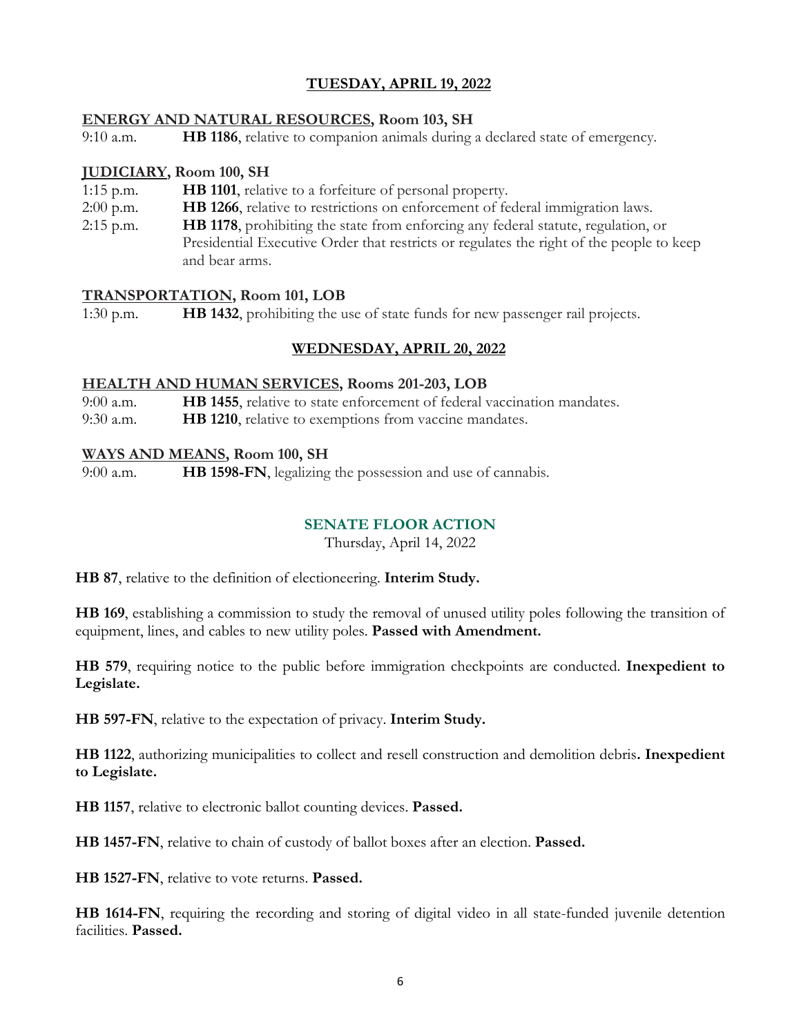#### **TUESDAY, APRIL 19, 2022**

#### **ENERGY AND NATURAL RESOURCES, Room 103, SH**

9:10 a.m. **HB 1186**, relative to companion animals during a declared state of emergency.

#### **JUDICIARY, Room 100, SH**

- 1:15 p.m. **HB 1101**, relative to a forfeiture of personal property.
- 2:00 p.m. **HB 1266**, relative to restrictions on enforcement of federal immigration laws.
- 2:15 p.m. **HB 1178**, prohibiting the state from enforcing any federal statute, regulation, or Presidential Executive Order that restricts or regulates the right of the people to keep and bear arms.

#### **TRANSPORTATION, Room 101, LOB**

1:30 p.m. **HB 1432**, prohibiting the use of state funds for new passenger rail projects.

#### **WEDNESDAY, APRIL 20, 2022**

#### **HEALTH AND HUMAN SERVICES, Rooms 201-203, LOB**

9:00 a.m. **HB 1455**, relative to state enforcement of federal vaccination mandates.

9:30 a.m. **HB 1210**, relative to exemptions from vaccine mandates.

#### **WAYS AND MEANS, Room 100, SH**

9:00 a.m. **HB 1598-FN**, legalizing the possession and use of cannabis.

#### **SENATE FLOOR ACTION**

Thursday, April 14, 2022

**HB 87**, relative to the definition of electioneering. **Interim Study.**

**HB 169**, establishing a commission to study the removal of unused utility poles following the transition of equipment, lines, and cables to new utility poles. **Passed with Amendment.**

**HB 579**, requiring notice to the public before immigration checkpoints are conducted. **Inexpedient to Legislate.**

**HB 597-FN**, relative to the expectation of privacy. **Interim Study.**

**HB 1122**, authorizing municipalities to collect and resell construction and demolition debris**. Inexpedient to Legislate.**

**HB 1157**, relative to electronic ballot counting devices. **Passed.**

**HB 1457-FN**, relative to chain of custody of ballot boxes after an election. **Passed.**

**HB 1527-FN**, relative to vote returns. **Passed.**

**HB 1614-FN**, requiring the recording and storing of digital video in all state-funded juvenile detention facilities. **Passed.**